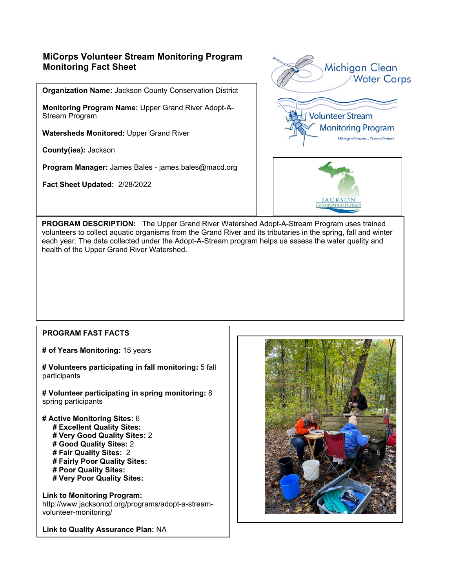# **MiCorps Volunteer Stream Monitoring Program Monitoring Fact Sheet**

**Organization Name:** Jackson County Conservation District

**Monitoring Program Name:** Upper Grand River Adopt-A- Stream Program

**Watersheds Monitored:** Upper Grand River

**County(ies):** Jackson

**Program Manager:** James Bales - james.bales@macd.org

**Fact Sheet Updated:** 2/28/2022





**PROGRAM DESCRIPTION:** The Upper Grand River Watershed Adopt-A-Stream Program uses trained volunteers to collect aquatic organisms from the Grand River and its tributaries in the spring, fall and winter each year. The data collected under the Adopt-A-Stream program helps us assess the water quality and health of the Upper Grand River Watershed.

#### **PROGRAM FAST FACTS**

**# of Years Monitoring:** 15 years

**# Volunteers participating in fall monitoring:** 5 fall participants

**# Volunteer participating in spring monitoring:** 8 spring participants

- **# Active Monitoring Sites:** 6
	- **# Excellent Quality Sites:**
	- **# Very Good Quality Sites:** 2
	- **# Good Quality Sites:** 2
	- **# Fair Quality Sites:** 2
	- **# Fairly Poor Quality Sites:**
	- **# Poor Quality Sites: # Very Poor Quality Sites:**
- **Link to Monitoring Program:**

http://www.jacksoncd.org/programs/adopt-a-streamvolunteer-monitoring/

**Link to Quality Assurance Plan:** NA